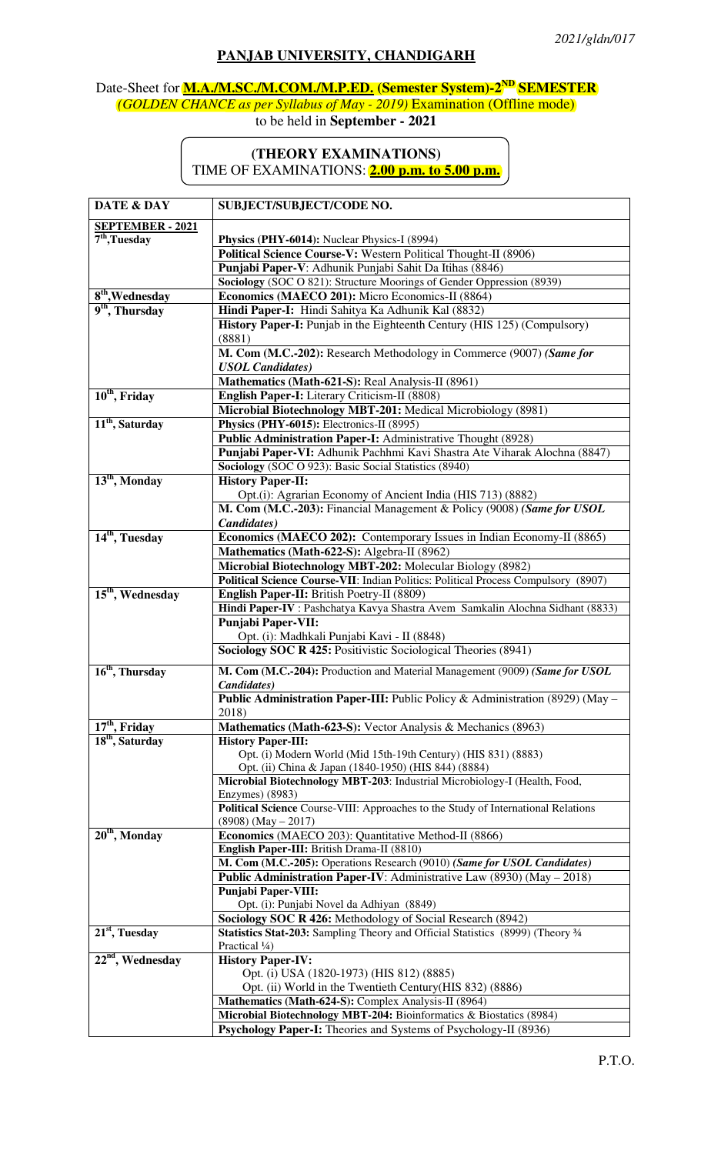## **PANJAB UNIVERSITY, CHANDIGARH**

## Date-Sheet for **M.A./M.SC./M.COM./M.P.ED. (Semester System)-2ND SEMESTER** *(GOLDEN CHANCE as per Syllabus of May - 2019)* Examination (Offline mode) to be held in **September - 2021**

## **(THEORY EXAMINATIONS)**  TIME OF EXAMINATIONS: **2.00 p.m. to 5.00 p.m.**

| DATE & DAY                    | SUBJECT/SUBJECT/CODE NO.                                                                                               |  |  |
|-------------------------------|------------------------------------------------------------------------------------------------------------------------|--|--|
| <b>SEPTEMBER - 2021</b>       |                                                                                                                        |  |  |
| $7th$ , Tuesday               | Physics (PHY-6014): Nuclear Physics-I (8994)                                                                           |  |  |
|                               | Political Science Course-V: Western Political Thought-II (8906)                                                        |  |  |
|                               | Punjabi Paper-V: Adhunik Punjabi Sahit Da Itihas (8846)                                                                |  |  |
|                               | Sociology (SOC O 821): Structure Moorings of Gender Oppression (8939)                                                  |  |  |
| $8th$ , Wednesday             | Economics (MAECO 201): Micro Economics-II (8864)                                                                       |  |  |
| 9 <sup>th</sup> , Thursday    | Hindi Paper-I: Hindi Sahitya Ka Adhunik Kal (8832)                                                                     |  |  |
|                               | History Paper-I: Punjab in the Eighteenth Century (HIS 125) (Compulsory)                                               |  |  |
|                               | (8881)                                                                                                                 |  |  |
|                               | M. Com (M.C.-202): Research Methodology in Commerce (9007) (Same for                                                   |  |  |
|                               | <b>USOL</b> Candidates)                                                                                                |  |  |
|                               | Mathematics (Math-621-S): Real Analysis-II (8961)                                                                      |  |  |
| $10th$ , Friday               | English Paper-I: Literary Criticism-II (8808)                                                                          |  |  |
|                               | Microbial Biotechnology MBT-201: Medical Microbiology (8981)                                                           |  |  |
| 11 <sup>th</sup> , Saturday   | Physics (PHY-6015): Electronics-II (8995)                                                                              |  |  |
|                               | Public Administration Paper-I: Administrative Thought (8928)                                                           |  |  |
|                               | Punjabi Paper-VI: Adhunik Pachhmi Kavi Shastra Ate Viharak Alochna (8847)                                              |  |  |
|                               | Sociology (SOC O 923): Basic Social Statistics (8940)                                                                  |  |  |
| $13th$ , Monday               | <b>History Paper-II:</b>                                                                                               |  |  |
|                               | Opt.(i): Agrarian Economy of Ancient India (HIS 713) (8882)                                                            |  |  |
|                               | M. Com (M.C.-203): Financial Management & Policy (9008) (Same for USOL                                                 |  |  |
|                               | Candidates)                                                                                                            |  |  |
| 14 <sup>th</sup> , Tuesday    | Economics (MAECO 202): Contemporary Issues in Indian Economy-II (8865)                                                 |  |  |
|                               | Mathematics (Math-622-S): Algebra-II (8962)                                                                            |  |  |
|                               | Microbial Biotechnology MBT-202: Molecular Biology (8982)                                                              |  |  |
|                               | Political Science Course-VII: Indian Politics: Political Process Compulsory (8907)                                     |  |  |
| 15 <sup>th</sup> , Wednesday  | English Paper-II: British Poetry-II (8809)                                                                             |  |  |
|                               | Hindi Paper-IV : Pashchatya Kavya Shastra Avem Samkalin Alochna Sidhant (8833)                                         |  |  |
|                               | <b>Punjabi Paper-VII:</b>                                                                                              |  |  |
|                               | Opt. (i): Madhkali Punjabi Kavi - II (8848)                                                                            |  |  |
|                               | <b>Sociology SOC R 425: Positivistic Sociological Theories (8941)</b>                                                  |  |  |
| $16th$ , Thursday             | M. Com (M.C.-204): Production and Material Management (9009) (Same for USOL                                            |  |  |
|                               | Candidates)                                                                                                            |  |  |
|                               | Public Administration Paper-III: Public Policy & Administration (8929) (May -                                          |  |  |
|                               | 2018)                                                                                                                  |  |  |
| $\overline{17^{th}}$ , Friday | Mathematics (Math-623-S): Vector Analysis & Mechanics (8963)                                                           |  |  |
| 18 <sup>th</sup> , Saturday   | <b>History Paper-III:</b>                                                                                              |  |  |
|                               | Opt. (i) Modern World (Mid 15th-19th Century) (HIS 831) (8883)                                                         |  |  |
|                               | Opt. (ii) China & Japan (1840-1950) (HIS 844) (8884)                                                                   |  |  |
|                               | Microbial Biotechnology MBT-203: Industrial Microbiology-I (Health, Food,                                              |  |  |
|                               | Enzymes) (8983)                                                                                                        |  |  |
|                               | Political Science Course-VIII: Approaches to the Study of International Relations                                      |  |  |
|                               | $(8908)$ (May $- 2017$ )                                                                                               |  |  |
| $20th$ , Monday               | Economics (MAECO 203): Quantitative Method-II (8866)                                                                   |  |  |
|                               | English Paper-III: British Drama-II (8810)<br>M. Com (M.C.-205): Operations Research (9010) (Same for USOL Candidates) |  |  |
|                               | <b>Public Administration Paper-IV:</b> Administrative Law (8930) ( $\overline{May - 2018}$ )                           |  |  |
|                               | <b>Punjabi Paper-VIII:</b>                                                                                             |  |  |
|                               | Opt. (i): Punjabi Novel da Adhiyan (8849)                                                                              |  |  |
|                               | Sociology SOC R 426: Methodology of Social Research (8942)                                                             |  |  |
| $21st$ , Tuesday              | Statistics Stat-203: Sampling Theory and Official Statistics (8999) (Theory 3/4                                        |  |  |
|                               | Practical 1/4)                                                                                                         |  |  |
| $22nd$ , Wednesday            | <b>History Paper-IV:</b>                                                                                               |  |  |
|                               | Opt. (i) USA (1820-1973) (HIS 812) (8885)                                                                              |  |  |
|                               | Opt. (ii) World in the Twentieth Century (HIS 832) (8886)                                                              |  |  |
|                               | Mathematics (Math-624-S): Complex Analysis-II (8964)                                                                   |  |  |
|                               | Microbial Biotechnology MBT-204: Bioinformatics & Biostatics (8984)                                                    |  |  |
|                               | Psychology Paper-I: Theories and Systems of Psychology-II (8936)                                                       |  |  |